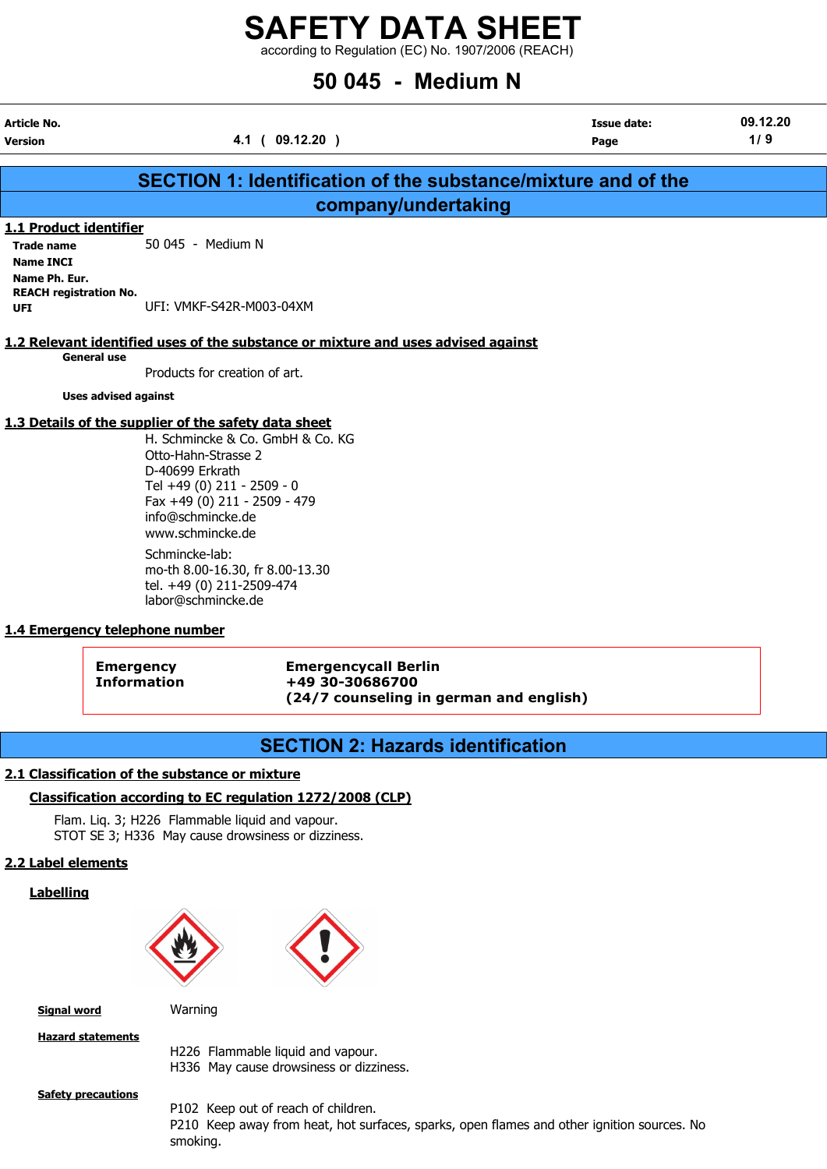according to Regulation (EC) No. 1907/2006 (REACH)

# 50 045 - Medium N

| Article No.<br>Version | 4.1 ( 09.12.20                                                | Issue date:<br>Page | 09.12.20<br>1/9 |
|------------------------|---------------------------------------------------------------|---------------------|-----------------|
|                        | SECTION 1: Identification of the substance/mixture and of the |                     |                 |
|                        | company/undertaking                                           |                     |                 |

#### 1.1 Product identifier

Trade name 50 045 - Medium N Name INCI Name Ph. Eur. REACH registration No. UFI: VMKF-S42R-M003-04XM

#### 1.2 Relevant identified uses of the substance or mixture and uses advised against

General use

Products for creation of art.

Uses advised against

#### 1.3 Details of the supplier of the safety data sheet

H. Schmincke & Co. GmbH & Co. KG Otto-Hahn-Strasse 2 D-40699 Erkrath Tel +49 (0) 211 - 2509 - 0 Fax +49 (0) 211 - 2509 - 479 info@schmincke.de www.schmincke.de Schmincke-lab: mo-th 8.00-16.30, fr 8.00-13.30 tel. +49 (0) 211-2509-474

labor@schmincke.de

#### 1.4 Emergency telephone number

Emergency Emergencycall Berlin Information +49 30-30686700 (24/7 counseling in german and english)

# SECTION 2: Hazards identification

#### 2.1 Classification of the substance or mixture

#### Classification according to EC regulation 1272/2008 (CLP)

Flam. Liq. 3; H226 Flammable liquid and vapour. STOT SE 3; H336 May cause drowsiness or dizziness.

#### 2.2 Label elements

Labelling



**Signal word** Warning

Hazard statements

H226 Flammable liquid and vapour. H336 May cause drowsiness or dizziness.

#### **Safety precautions**

P102 Keep out of reach of children. P210 Keep away from heat, hot surfaces, sparks, open flames and other ignition sources. No smoking.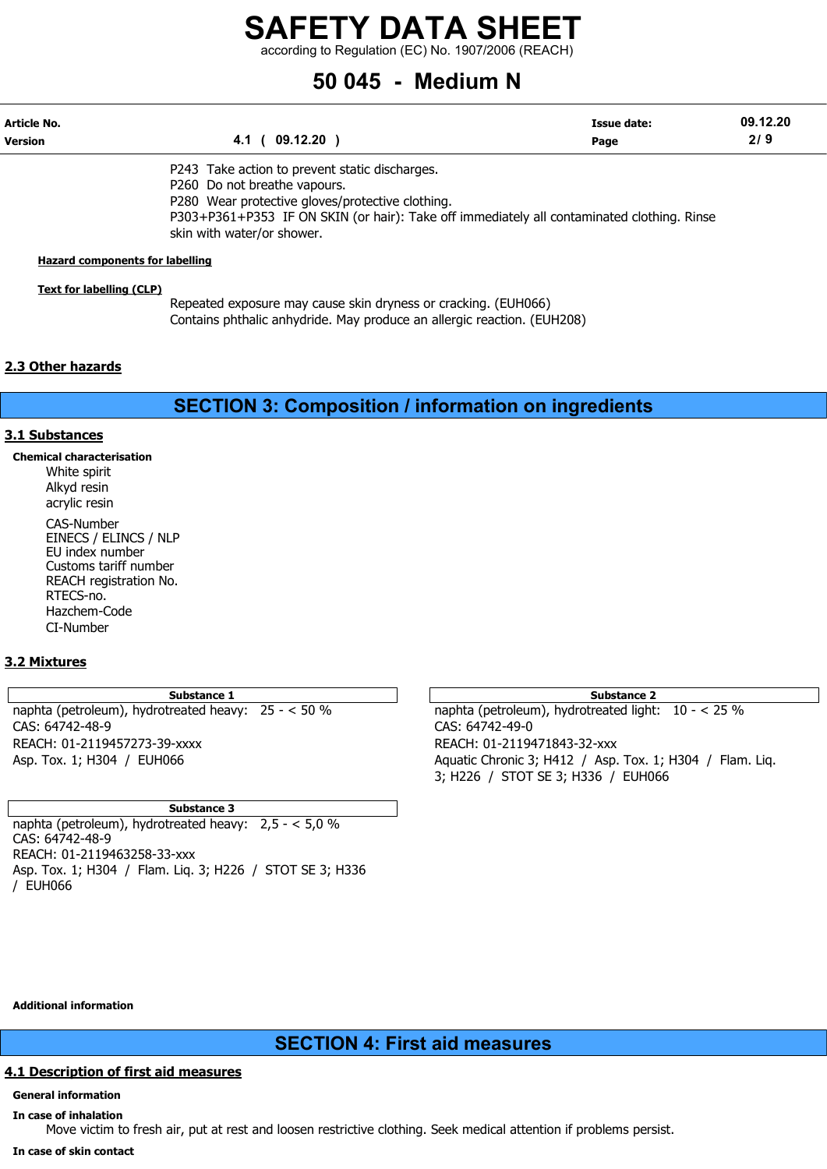according to Regulation (EC) No. 1907/2006 (REACH)

# 50 045 - Medium N

| Article No.<br><b>Version</b> | 4.1 ( 09.12.20                                                                             | <b>Issue date:</b><br>Page | 09.12.20<br>2/9 |
|-------------------------------|--------------------------------------------------------------------------------------------|----------------------------|-----------------|
|                               | P243 Take action to prevent static discharges.                                             |                            |                 |
|                               | P260 Do not breathe vapours.                                                               |                            |                 |
|                               | P280 Wear protective gloves/protective clothing.                                           |                            |                 |
|                               | P303+P361+P353 IF ON SKIN (or hair): Take off immediately all contaminated clothing. Rinse |                            |                 |
|                               | skin with water/or shower.                                                                 |                            |                 |

#### Hazard components for labelling

#### Text for labelling (CLP)

Repeated exposure may cause skin dryness or cracking. (EUH066) Contains phthalic anhydride. May produce an allergic reaction. (EUH208)

#### 2.3 Other hazards

SECTION 3: Composition / information on ingredients

#### 3.1 Substances

Chemical characterisation White spirit Alkyd resin acrylic resin CAS-Number EINECS / ELINCS / NLP EU index number Customs tariff number REACH registration No. RTECS-no. Hazchem-Code CI-Number

#### 3.2 Mixtures

Substance 1 Substance 2 naphta (petroleum), hydrotreated heavy: 25 - < 50 % naphta (petroleum), hydrotreated light: 10 - < 25 % CAS: 64742-48-9 CAS: 64742-49-0 REACH: 01-2119457273-39-xxxx REACH: 01-2119471843-32-xxx

Substance 3

naphta (petroleum), hydrotreated heavy: 2,5 - < 5,0 % CAS: 64742-48-9 REACH: 01-2119463258-33-xxx Asp. Tox. 1; H304 / Flam. Liq. 3; H226 / STOT SE 3; H336 / EUH066

Asp. Tox. 1; H304 / EUH066 Aquatic Chronic 3; H412 / Asp. Tox. 1; H304 / Flam. Liq. 3; H226 / STOT SE 3; H336 / EUH066

Additional information

SECTION 4: First aid measures

#### 4.1 Description of first aid measures

#### General information

In case of inhalation Move victim to fresh air, put at rest and loosen restrictive clothing. Seek medical attention if problems persist.

In case of skin contact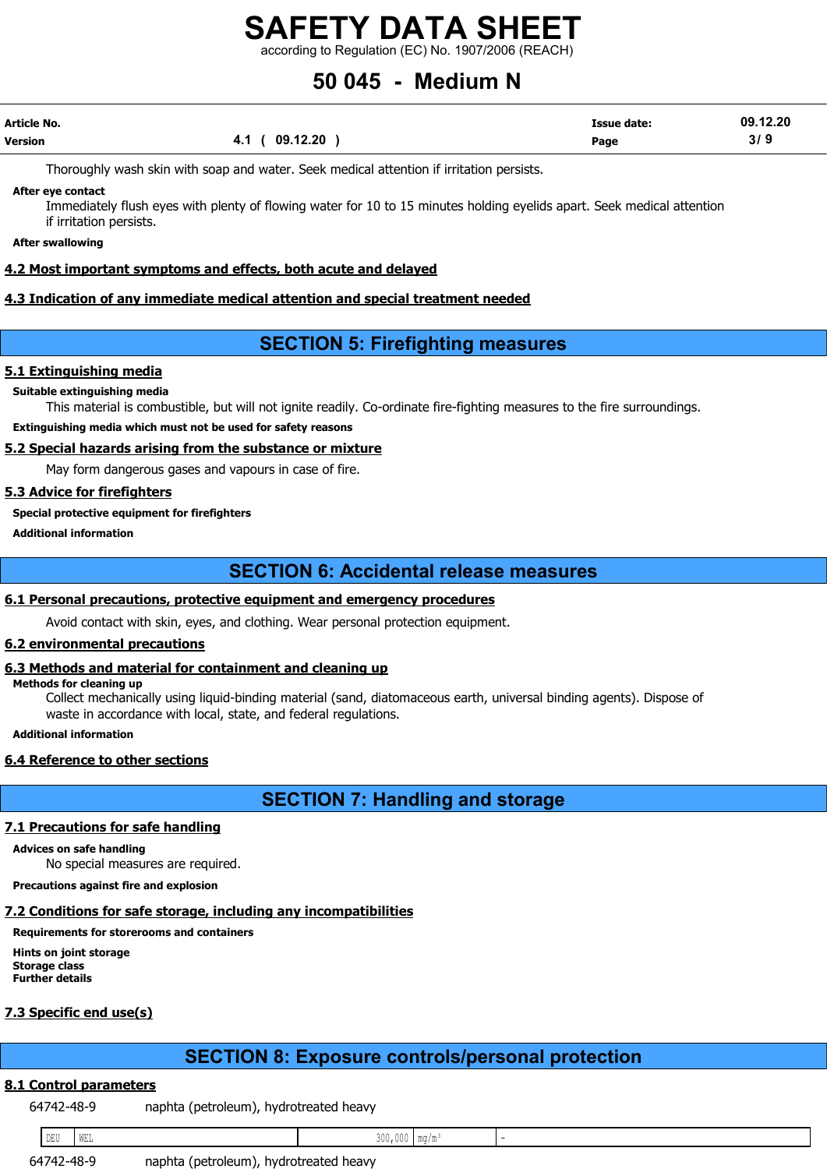according to Regulation (EC) No. 1907/2006 (REACH)

# 50 045 - Medium N

| Article No. |                | <b>Issue date:</b> | 09.12.20 |
|-------------|----------------|--------------------|----------|
| Version     | 4.1 ( 09.12.20 | Page               | 3/9      |

Thoroughly wash skin with soap and water. Seek medical attention if irritation persists.

After eye contact

Immediately flush eyes with plenty of flowing water for 10 to 15 minutes holding eyelids apart. Seek medical attention if irritation persists.

After swallowing

#### 4.2 Most important symptoms and effects, both acute and delayed

#### 4.3 Indication of any immediate medical attention and special treatment needed

## SECTION 5: Firefighting measures

#### 5.1 Extinguishing media

#### Suitable extinguishing media

This material is combustible, but will not ignite readily. Co-ordinate fire-fighting measures to the fire surroundings.

Extinguishing media which must not be used for safety reasons

#### 5.2 Special hazards arising from the substance or mixture

May form dangerous gases and vapours in case of fire.

#### 5.3 Advice for firefighters

#### Special protective equipment for firefighters

Additional information

## SECTION 6: Accidental release measures

#### 6.1 Personal precautions, protective equipment and emergency procedures

Avoid contact with skin, eyes, and clothing. Wear personal protection equipment.

### 6.2 environmental precautions

#### 6.3 Methods and material for containment and cleaning up

#### Methods for cleaning up

Collect mechanically using liquid-binding material (sand, diatomaceous earth, universal binding agents). Dispose of waste in accordance with local, state, and federal regulations.

Additional information

#### 6.4 Reference to other sections

# SECTION 7: Handling and storage

#### 7.1 Precautions for safe handling

Advices on safe handling No special measures are required.

Precautions against fire and explosion

#### 7.2 Conditions for safe storage, including any incompatibilities

Requirements for storerooms and containers

Hints on joint storage Storage class Further details

#### 7.3 Specific end use(s)

# SECTION 8: Exposure controls/personal protection

### 8.1 Control parameters

64742-48-9 naphta (petroleum), hydrotreated heavy

| DEU        | a tama<br>ם בו א |                        | $\sim$ $\sim$ $\sim$<br>, v v v<br>- J V V | 1 .III. 7 .III |  |
|------------|------------------|------------------------|--------------------------------------------|----------------|--|
| - 71<br>b٤ | $\overline{10}$  | naphta<br>(petroleum), | hvdrotreated<br>heavy                      |                |  |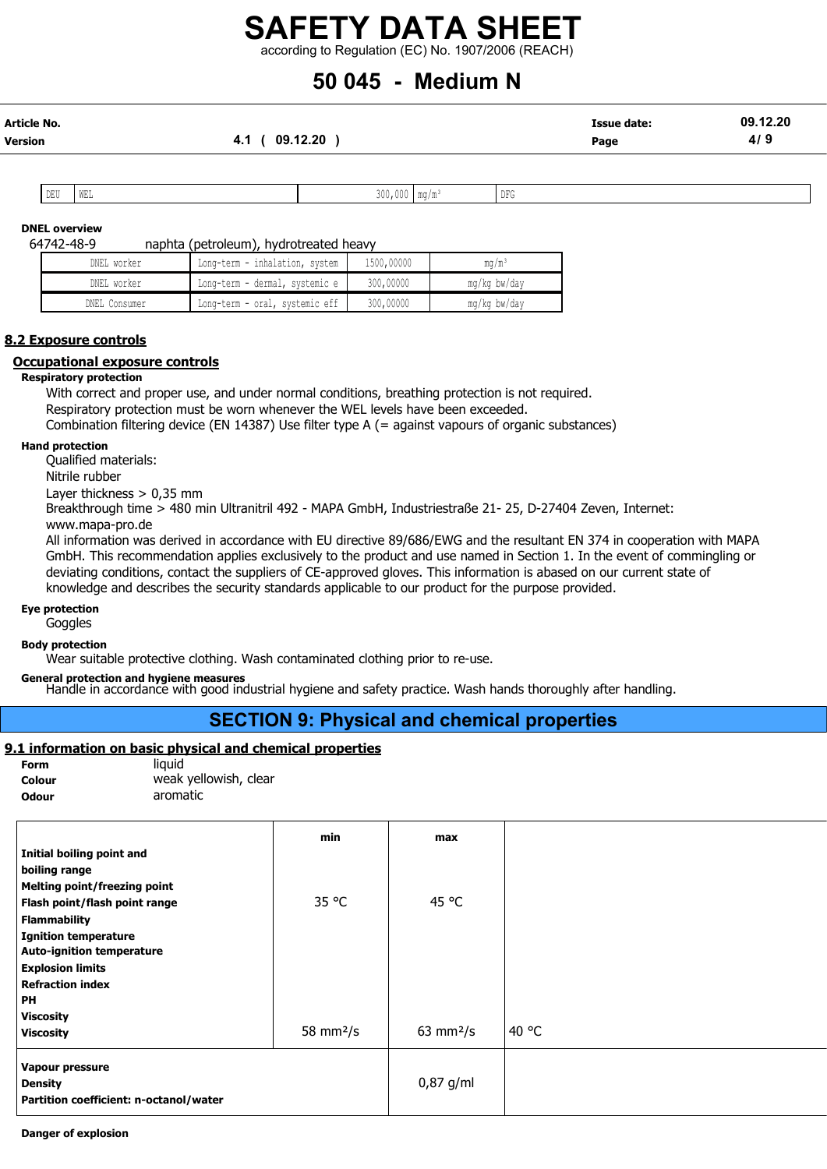# SAFETY DATA SHEET according to Regulation (EC) No. 1907/2006 (REACH)

# 50 045 - Medium N

| Article No. |                | <b>Issue date:</b> | 09.12.20 |
|-------------|----------------|--------------------|----------|
| Version     | 4.1 ( 09.12.20 | Page               | 4/9      |

| DELL'I | . tmr |  | D <sub>m</sub><br><b>IIH</b> |
|--------|-------|--|------------------------------|
| ∪ ש    | WEL   |  | . DT A                       |
|        |       |  |                              |

#### DNEL overview

64742-48-9 naphta (petroleum), hydrotreated heavy

| DNEL worker   | Long-term - inhalation, system | 1500,00000 | $\text{ma/m}^3$ |
|---------------|--------------------------------|------------|-----------------|
| DNEL worker   | Long-term - dermal, systemic e | 300,00000  | mg/kg bw/day    |
| DNEL Consumer | Long-term - oral, systemic eff | 300,00000  | mg/kg bw/day    |

#### 8.2 Exposure controls

#### Occupational exposure controls

#### Respiratory protection

With correct and proper use, and under normal conditions, breathing protection is not required.

Respiratory protection must be worn whenever the WEL levels have been exceeded.

Combination filtering device (EN 14387) Use filter type A (= against vapours of organic substances)

#### Hand protection

Qualified materials:

Nitrile rubber

Layer thickness > 0,35 mm

Breakthrough time > 480 min Ultranitril 492 - MAPA GmbH, Industriestraße 21- 25, D-27404 Zeven, Internet: www.mapa-pro.de

All information was derived in accordance with EU directive 89/686/EWG and the resultant EN 374 in cooperation with MAPA GmbH. This recommendation applies exclusively to the product and use named in Section 1. In the event of commingling or deviating conditions, contact the suppliers of CE-approved gloves. This information is abased on our current state of knowledge and describes the security standards applicable to our product for the purpose provided.

Eye protection

**Goggles** 

#### Body protection

Wear suitable protective clothing. Wash contaminated clothing prior to re-use.

General protection and hygiene measures

Handle in accordance with good industrial hygiene and safety practice. Wash hands thoroughly after handling.

## SECTION 9: Physical and chemical properties

#### 9.1 information on basic physical and chemical properties

| Form   | liauid                |
|--------|-----------------------|
| Colour | weak yellowish, clear |
| Odour  | aromatic              |

|                                        | min         | max                        |       |
|----------------------------------------|-------------|----------------------------|-------|
| Initial boiling point and              |             |                            |       |
| boiling range                          |             |                            |       |
| <b>Melting point/freezing point</b>    |             |                            |       |
| Flash point/flash point range          | 35 °C       | 45 °C                      |       |
| <b>Flammability</b>                    |             |                            |       |
| <b>Ignition temperature</b>            |             |                            |       |
| <b>Auto-ignition temperature</b>       |             |                            |       |
| <b>Explosion limits</b>                |             |                            |       |
| <b>Refraction index</b>                |             |                            |       |
| <b>PH</b>                              |             |                            |       |
| <b>Viscosity</b>                       |             |                            |       |
| <b>Viscosity</b>                       | 58 mm $2/s$ | $63 \text{ mm}^2/\text{s}$ | 40 °C |
|                                        |             |                            |       |
| Vapour pressure                        |             | $0,87$ g/ml                |       |
| <b>Density</b>                         |             |                            |       |
| Partition coefficient: n-octanol/water |             |                            |       |

Danger of explosion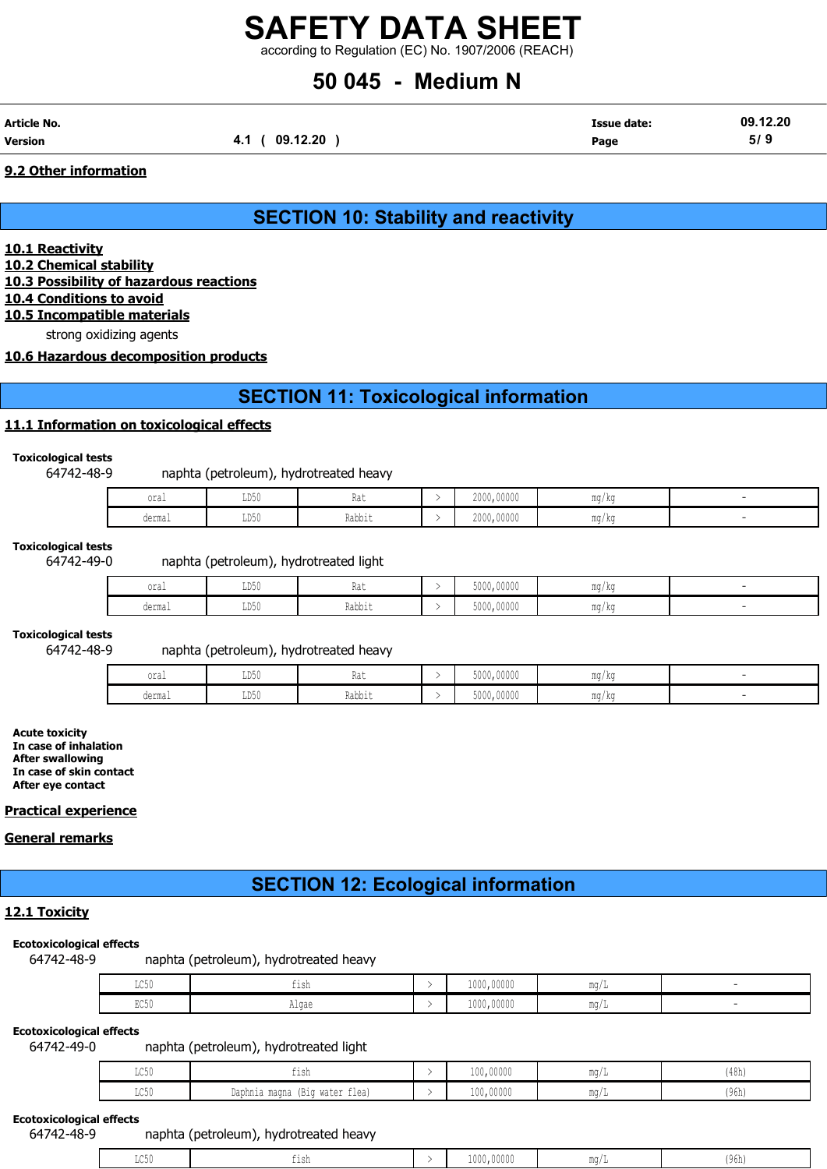according to Regulation (EC) No. 1907/2006 (REACH)

# 50 045 - Medium N

| Article No. |                   | <b>Issue date:</b> | 09.12.20 |
|-------------|-------------------|--------------------|----------|
| Version     | (09.12.20)<br>4.1 | Page               | 5/9      |

#### 9.2 Other information

SECTION 10: Stability and reactivity

10.1 Reactivity 10.2 Chemical stability 10.3 Possibility of hazardous reactions

10.4 Conditions to avoid

10.5 Incompatible materials

strong oxidizing agents

10.6 Hazardous decomposition products

# SECTION 11: Toxicological information

#### 11.1 Information on toxicological effects

#### Toxicological tests

64742-48-9 naphta (petroleum), hydrotreated heavy

| oral   | <b>TDEO</b><br>∪ ∪ ש | .<br><b>INA 6</b><br>$\sim$ | 2000,00000 | $m \sim$<br>mq/kq |  |
|--------|----------------------|-----------------------------|------------|-------------------|--|
| dermal | TDE0<br>ມມ⊍∨         | -<br>Dahhi<br>ιναυν⊥ι       | 2000,00000 | $m \sim$<br>mq/kq |  |

#### Toxicological tests

#### 64742-49-0 naphta (petroleum), hydrotreated light

| oral                    | LD50                    | n.<br>$1101 -$                | 5000,00000 | <b>MA ALL</b><br>1114 / MY |  |
|-------------------------|-------------------------|-------------------------------|------------|----------------------------|--|
| dorma<br><b>ACTIFAT</b> | T <sub>DE</sub><br>nnnn | -<br>じっトト<br><b>T/ann T L</b> | 5000,00000 | $m \sim$<br>111.U / 17.U   |  |

Toxicological tests

#### 64742-48-9 naphta (petroleum), hydrotreated heavy

| oral   | <b>TDEO</b><br>ມມ⊽ບ | $\sim$<br><b>INA 6</b>  | 5000,00000 | ma/ka |  |
|--------|---------------------|-------------------------|------------|-------|--|
| dermal | TDE0<br>ມມ⊍∨        | $ -$<br>Dahhi<br>παηητη | 5000,00000 | mg/kg |  |

Acute toxicity In case of inhalation After swallowing In case of skin contact After eye contact

#### Practical experience

#### General remarks

# SECTION 12: Ecological information

#### 12.1 Toxicity

#### Ecotoxicological effects

64742-48-9 naphta (petroleum), hydrotreated heavy

| $T \cap E \cap$<br>コンシャ                      | TT2U                       | 1000,00000 | $m \sim$<br> |  |
|----------------------------------------------|----------------------------|------------|--------------|--|
| $H = \mathcal{A} \times \mathcal{A}$<br>ロマング | $n \circ n$<br>n⊥ya⊏<br>__ | 1000,00000 | $m \sim$     |  |

#### Ecotoxicological effects

64742-49-0 naphta (petroleum), hydrotreated light

| $T \cap E$<br>カワつの | $+1$ ch<br>---                    | 100,00000 | $m \sim$<br>$11147 +$ | (48h) |
|--------------------|-----------------------------------|-----------|-----------------------|-------|
| LC50               | (Big water flea)<br>Daphnia magna | 100,00000 | $m \sim$              | (96h) |

#### Ecotoxicological effects

64742-48-9 naphta (petroleum), hydrotreated heavy

|  | ז פו<br>----<br>---- | <sup>1</sup> ,00000<br>--- | MA OH | $\sim$ viii |
|--|----------------------|----------------------------|-------|-------------|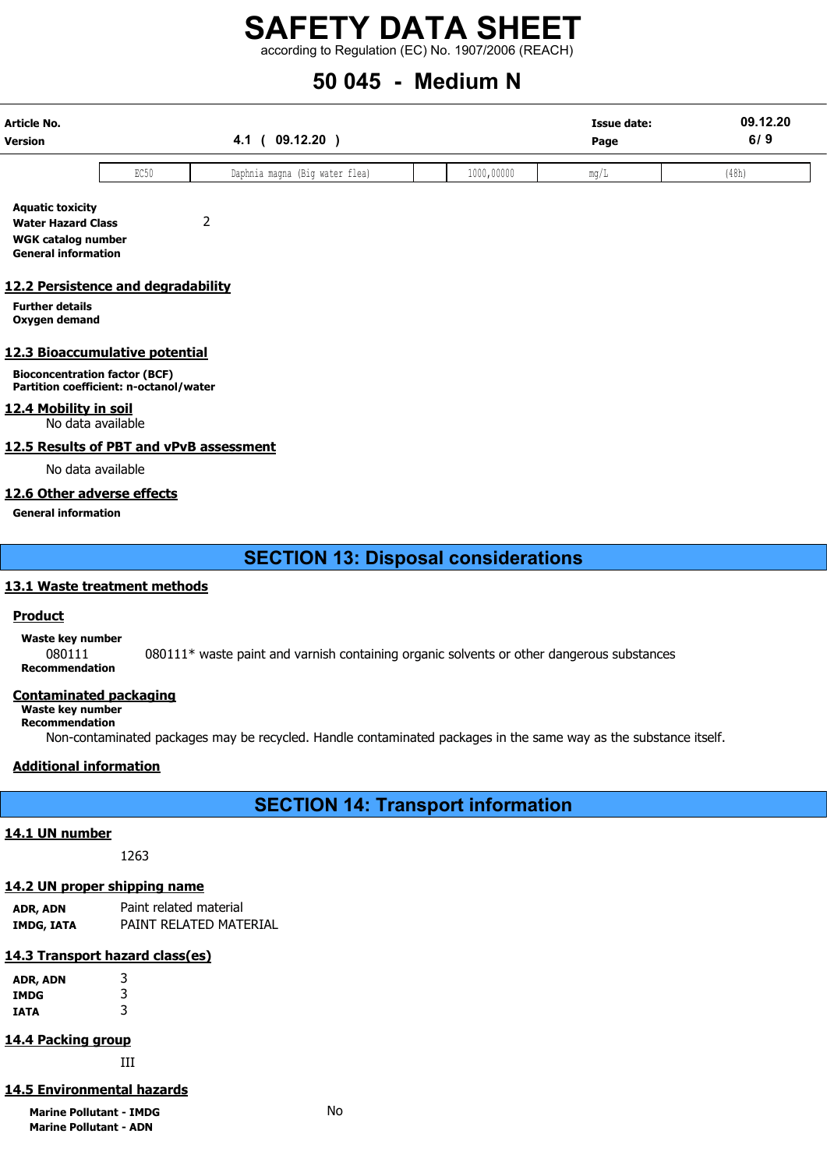according to Regulation (EC) No. 1907/2006 (REACH)

# 50 045 - Medium N

| Article No.<br><b>Version</b>                                                                                   |      | 09.12.20)<br>4.1               |            | <b>Issue date:</b><br>Page | 09.12.20<br>6/9 |
|-----------------------------------------------------------------------------------------------------------------|------|--------------------------------|------------|----------------------------|-----------------|
|                                                                                                                 | EC50 | Daphnia magna (Big water flea) | 1000,00000 | mg/L                       | (48h)           |
| <b>Aquatic toxicity</b><br><b>Water Hazard Class</b><br><b>WGK catalog number</b><br><b>General information</b> |      | 2                              |            |                            |                 |
| 12.2 Persistence and degradability<br><b>Further details</b><br>Oxygen demand                                   |      |                                |            |                            |                 |
| 12.3 Bioaccumulative potential                                                                                  |      |                                |            |                            |                 |
| <b>Bioconcentration factor (BCF)</b><br>Partition coefficient: n-octanol/water                                  |      |                                |            |                            |                 |

12.4 Mobility in soil

No data available

#### 12.5 Results of PBT and vPvB assessment

No data available

### 12.6 Other adverse effects

General information

SECTION 13: Disposal considerations

#### 13.1 Waste treatment methods

#### Product

Waste key number

080111 080111\* waste paint and varnish containing organic solvents or other dangerous substances Recommendation

#### Contaminated packaging

Waste key number

Recommendation

Non-contaminated packages may be recycled. Handle contaminated packages in the same way as the substance itself.

#### Additional information

SECTION 14: Transport information

#### 14.1 UN number

1263

### 14.2 UN proper shipping name

ADR, ADN Paint related material IMDG, IATA PAINT RELATED MATERIAL

## 14.3 Transport hazard class(es)

ADR, ADN 3 IMDG 3 IATA 3

## 14.4 Packing group

III

### 14.5 Environmental hazards

Marine Pollutant - IMDG No Marine Pollutant - ADN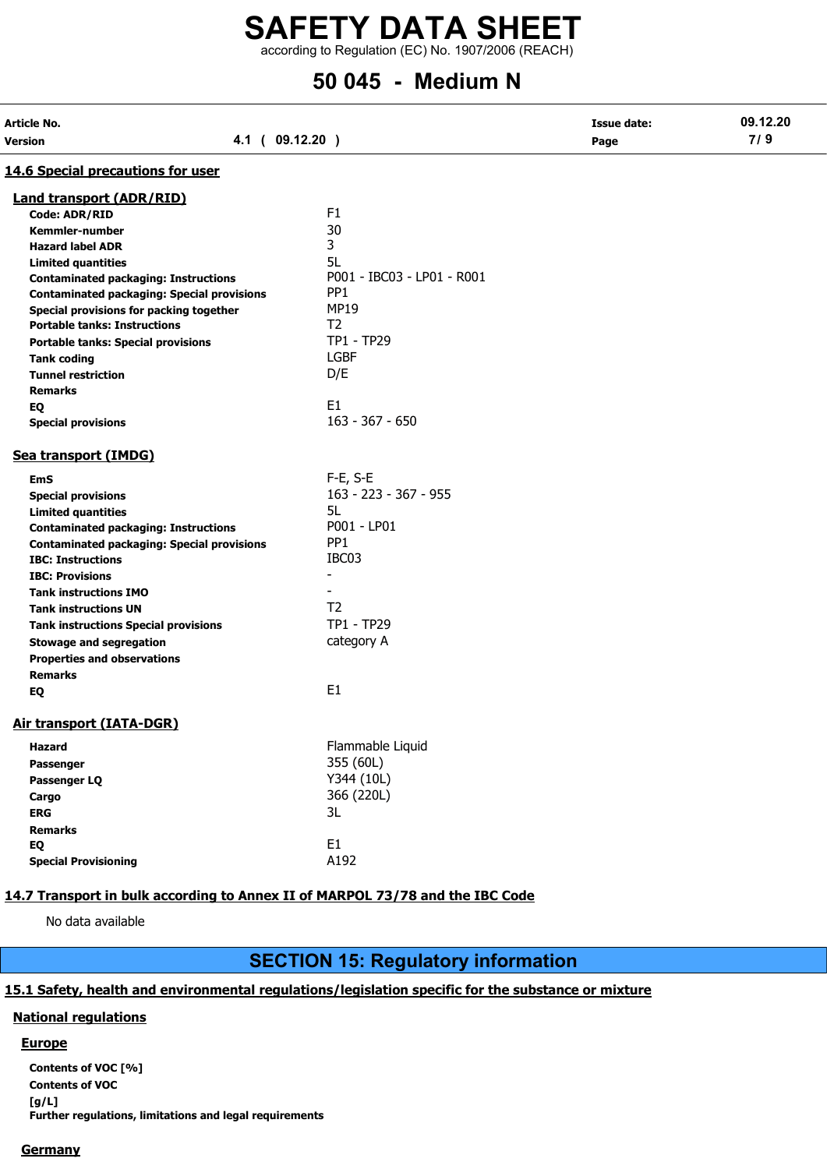according to Regulation (EC) No. 1907/2006 (REACH)

# 50 045 - Medium N

| Article No.<br><b>Version</b>                     | 4.1 ( 09.12.20 )           | <b>Issue date:</b><br>Page | 09.12.20<br>7/9 |
|---------------------------------------------------|----------------------------|----------------------------|-----------------|
| 14.6 Special precautions for user                 |                            |                            |                 |
| <b>Land transport (ADR/RID)</b>                   |                            |                            |                 |
| <b>Code: ADR/RID</b>                              | F <sub>1</sub>             |                            |                 |
| Kemmler-number                                    | 30                         |                            |                 |
| <b>Hazard label ADR</b>                           | 3                          |                            |                 |
| <b>Limited quantities</b>                         | 5L                         |                            |                 |
| <b>Contaminated packaging: Instructions</b>       | P001 - IBC03 - LP01 - R001 |                            |                 |
| <b>Contaminated packaging: Special provisions</b> | PP <sub>1</sub>            |                            |                 |
| Special provisions for packing together           | <b>MP19</b>                |                            |                 |
| <b>Portable tanks: Instructions</b>               | T <sub>2</sub>             |                            |                 |
| <b>Portable tanks: Special provisions</b>         | TP1 - TP29                 |                            |                 |
| <b>Tank coding</b>                                | <b>LGBF</b>                |                            |                 |
| <b>Tunnel restriction</b>                         | D/E                        |                            |                 |
| <b>Remarks</b>                                    |                            |                            |                 |
| EQ                                                | E <sub>1</sub>             |                            |                 |
| <b>Special provisions</b>                         | $163 - 367 - 650$          |                            |                 |
| Sea transport (IMDG)                              |                            |                            |                 |
| <b>EmS</b>                                        | $F-E$ , S-E                |                            |                 |
| <b>Special provisions</b>                         | 163 - 223 - 367 - 955      |                            |                 |
| <b>Limited quantities</b>                         | 5L                         |                            |                 |
| <b>Contaminated packaging: Instructions</b>       | P001 - LP01                |                            |                 |
| <b>Contaminated packaging: Special provisions</b> | PP <sub>1</sub>            |                            |                 |
| <b>IBC: Instructions</b>                          | IBC03                      |                            |                 |
| <b>IBC: Provisions</b>                            | $\blacksquare$             |                            |                 |
| <b>Tank instructions IMO</b>                      | $\blacksquare$             |                            |                 |
| <b>Tank instructions UN</b>                       | T <sub>2</sub>             |                            |                 |
| <b>Tank instructions Special provisions</b>       | TP1 - TP29                 |                            |                 |
| <b>Stowage and segregation</b>                    | category A                 |                            |                 |
| <b>Properties and observations</b>                |                            |                            |                 |
| <b>Remarks</b>                                    |                            |                            |                 |
| EQ                                                | E <sub>1</sub>             |                            |                 |
|                                                   |                            |                            |                 |
| <b>Air transport (IATA-DGR)</b>                   |                            |                            |                 |
| <b>Hazard</b>                                     | Flammable Liquid           |                            |                 |
| Passenger                                         | 355 (60L)                  |                            |                 |
| Passenger LQ                                      | Y344 (10L)                 |                            |                 |
| Cargo                                             | 366 (220L)                 |                            |                 |
| <b>ERG</b>                                        | 3L                         |                            |                 |
| <b>Remarks</b>                                    |                            |                            |                 |
| EQ                                                | E1                         |                            |                 |
| <b>Special Provisioning</b>                       | A192                       |                            |                 |
|                                                   |                            |                            |                 |

### 14.7 Transport in bulk according to Annex II of MARPOL 73/78 and the IBC Code

No data available

# SECTION 15: Regulatory information

#### 15.1 Safety, health and environmental regulations/legislation specific for the substance or mixture

#### National regulations

#### Europe

Contents of VOC [%] Contents of VOC [g/L] Further regulations, limitations and legal requirements

#### **Germany**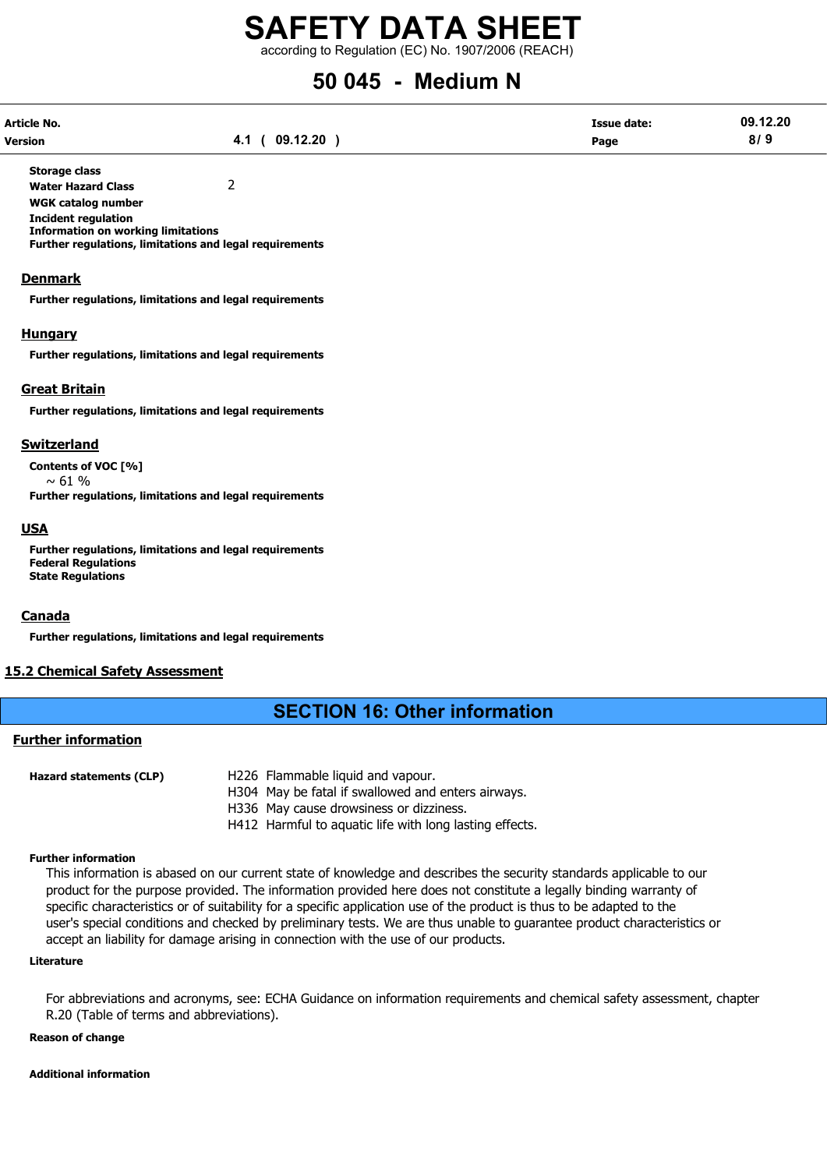according to Regulation (EC) No. 1907/2006 (REACH)

# 50 045 - Medium N

| Article No.    |                 | <b>Issue date:</b> | 09.12.20 |
|----------------|-----------------|--------------------|----------|
| <b>Version</b> | 09.12.20<br>4.1 | Page               | 8/9      |

Storage class Water Hazard Class 2

WGK catalog number

Incident regulation

Information on working limitations

Further regulations, limitations and legal requirements

#### **Denmark**

Further regulations, limitations and legal requirements

#### **Hungary**

Further regulations, limitations and legal requirements

#### Great Britain

Further regulations, limitations and legal requirements

#### Switzerland

Contents of VOC [%]

 $~\sim 61 \%$ Further regulations, limitations and legal requirements

#### USA

Further regulations, limitations and legal requirements Federal Regulations State Regulations

#### Canada

Further regulations, limitations and legal requirements

#### 15.2 Chemical Safety Assessment

## SECTION 16: Other information

#### Further information

| <b>Hazard statements (CLP)</b> | H226 Flammable liquid and vapour.                       |
|--------------------------------|---------------------------------------------------------|
|                                | H304 May be fatal if swallowed and enters airways.      |
|                                | H336 May cause drowsiness or dizziness.                 |
|                                | H412 Harmful to aguatic life with long lasting effects. |

#### Further information

This information is abased on our current state of knowledge and describes the security standards applicable to our product for the purpose provided. The information provided here does not constitute a legally binding warranty of specific characteristics or of suitability for a specific application use of the product is thus to be adapted to the user's special conditions and checked by preliminary tests. We are thus unable to guarantee product characteristics or accept an liability for damage arising in connection with the use of our products.

#### Literature

For abbreviations and acronyms, see: ECHA Guidance on information requirements and chemical safety assessment, chapter R.20 (Table of terms and abbreviations).

#### Reason of change

#### Additional information